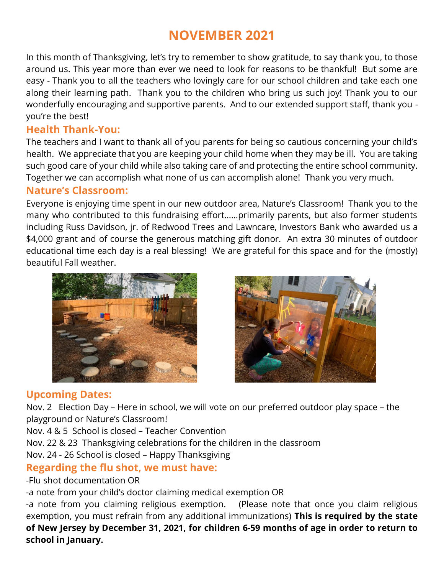# **NOVEMBER 2021**

In this month of Thanksgiving, let's try to remember to show gratitude, to say thank you, to those around us. This year more than ever we need to look for reasons to be thankful! But some are easy - Thank you to all the teachers who lovingly care for our school children and take each one along their learning path. Thank you to the children who bring us such joy! Thank you to our wonderfully encouraging and supportive parents. And to our extended support staff, thank you you're the best!

### **Health Thank-You:**

The teachers and I want to thank all of you parents for being so cautious concerning your child's health. We appreciate that you are keeping your child home when they may be ill. You are taking such good care of your child while also taking care of and protecting the entire school community. Together we can accomplish what none of us can accomplish alone! Thank you very much.

### **Nature's Classroom:**

Everyone is enjoying time spent in our new outdoor area, Nature's Classroom! Thank you to the many who contributed to this fundraising effort……primarily parents, but also former students including Russ Davidson, jr. of Redwood Trees and Lawncare, Investors Bank who awarded us a \$4,000 grant and of course the generous matching gift donor. An extra 30 minutes of outdoor educational time each day is a real blessing! We are grateful for this space and for the (mostly) beautiful Fall weather.





# **Upcoming Dates:**

Nov. 2 Election Day – Here in school, we will vote on our preferred outdoor play space – the playground or Nature's Classroom!

Nov. 4 & 5 School is closed – Teacher Convention

Nov. 22 & 23 Thanksgiving celebrations for the children in the classroom

Nov. 24 - 26 School is closed – Happy Thanksgiving

# **Regarding the flu shot, we must have:**

-Flu shot documentation OR

-a note from your child's doctor claiming medical exemption OR

-a note from you claiming religious exemption. (Please note that once you claim religious exemption, you must refrain from any additional immunizations) **This is required by the state of New Jersey by December 31, 2021, for children 6-59 months of age in order to return to school in January.**